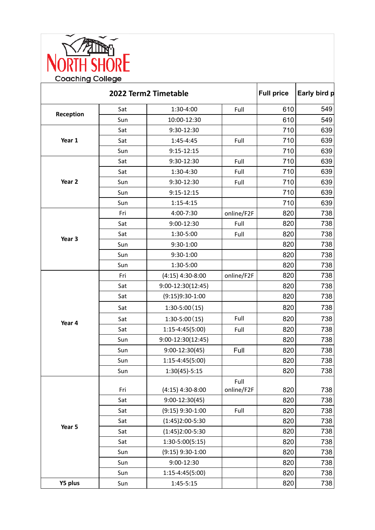

|           | <b>Full price</b> | Early bird p        |                    |     |     |
|-----------|-------------------|---------------------|--------------------|-----|-----|
| Reception | Sat               | 1:30-4:00           | Full               | 610 | 549 |
|           | Sun               | 10:00-12:30         |                    | 610 | 549 |
| Year 1    | Sat               | 9:30-12:30          |                    | 710 | 639 |
|           | Sat               | 1:45-4:45           | Full               | 710 | 639 |
|           | Sun               | $9:15 - 12:15$      |                    | 710 | 639 |
| Year 2    | Sat               | 9:30-12:30          | Full               | 710 | 639 |
|           | Sat               | 1:30-4:30           | Full               | 710 | 639 |
|           | Sun               | 9:30-12:30          | Full               | 710 | 639 |
|           | Sun               | $9:15 - 12:15$      |                    | 710 | 639 |
|           | Sun               | $1:15 - 4:15$       |                    | 710 | 639 |
| Year 3    | Fri               | 4:00-7:30           | online/F2F         | 820 | 738 |
|           | Sat               | 9:00-12:30          | Full               | 820 | 738 |
|           | Sat               | 1:30-5:00           | Full               | 820 | 738 |
|           | Sun               | 9:30-1:00           |                    | 820 | 738 |
|           | Sun               | $9:30-1:00$         |                    | 820 | 738 |
|           | Sun               | 1:30-5:00           |                    | 820 | 738 |
| Year 4    | Fri               | $(4:15)$ 4:30-8:00  | online/F2F         | 820 | 738 |
|           | Sat               | $9:00-12:30(12:45)$ |                    | 820 | 738 |
|           | Sat               | $(9:15)9:30-1:00$   |                    | 820 | 738 |
|           | Sat               | $1:30-5:00(15)$     |                    | 820 | 738 |
|           | Sat               | $1:30-5:00(15)$     | Full               | 820 | 738 |
|           | Sat               | $1:15-4:45(5:00)$   | Full               | 820 | 738 |
|           | Sun               | $9:00-12:30(12:45)$ |                    | 820 | 738 |
|           | Sun               | $9:00-12:30(45)$    | Full               | 820 | 738 |
|           | Sun               | $1:15-4:45(5:00)$   |                    | 820 | 738 |
|           | Sun               | $1:30(45)-5:15$     |                    | 820 | 738 |
| Year 5    | Fri               | $(4:15)$ 4:30-8:00  | Full<br>online/F2F | 820 | 738 |
|           | Sat               | $9:00-12:30(45)$    |                    | 820 | 738 |
|           | Sat               | $(9:15)$ 9:30-1:00  | Full               | 820 | 738 |
|           | Sat               | $(1:45)2:00-5:30$   |                    | 820 | 738 |
|           | Sat               | $(1:45)2:00-5:30$   |                    | 820 | 738 |
|           | Sat               | $1:30-5:00(5:15)$   |                    | 820 | 738 |
|           | Sun               | $(9:15)$ 9:30-1:00  |                    | 820 | 738 |
|           | Sun               | 9:00-12:30          |                    | 820 | 738 |
|           | Sun               | $1:15-4:45(5:00)$   |                    | 820 | 738 |
| Y5 plus   | Sun               | $1:45-5:15$         |                    | 820 | 738 |